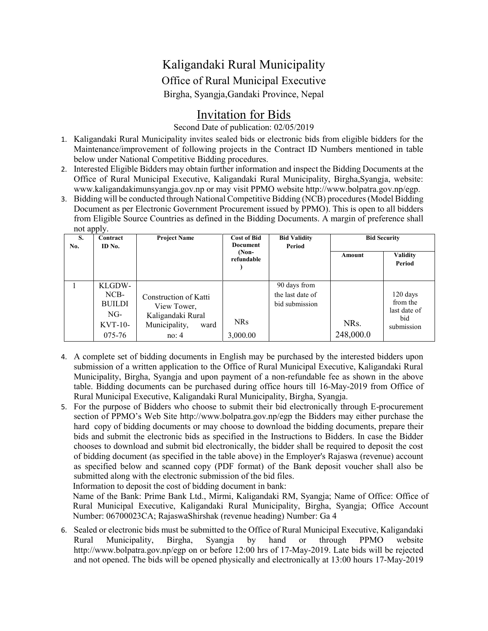## Kaligandaki Rural Municipality Office of Rural Municipal Executive Birgha, Syangja,Gandaki Province, Nepal

## Invitation for Bids

Second Date of publication: 02/05/2019

- 1. Kaligandaki Rural Municipality invites sealed bids or electronic bids from eligible bidders for the Maintenance/improvement of following projects in the Contract ID Numbers mentioned in table below under National Competitive Bidding procedures.
- 2. Interested Eligible Bidders may obtain further information and inspect the Bidding Documents at the Office of Rural Municipal Executive, Kaligandaki Rural Municipality, Birgha,Syangja, website: www.kaligandakimunsyangja.gov.np or may visit PPMO website http://www.bolpatra.gov.np/egp.
- 3. Bidding will be conducted through National Competitive Bidding (NCB) procedures (Model Bidding Document as per Electronic Government Procurement issued by PPMO). This is open to all bidders from Eligible Source Countries as defined in the Bidding Documents. A margin of preference shall not apply.

| $\cdots$ $\cdots$ $\cdots$<br>S.<br>No. | Contract<br>ID No.                                              | <b>Project Name</b>                                                                         | <b>Cost of Bid</b><br><b>Document</b><br>$(Non-$<br>refundable | <b>Bid Validity</b><br>Period                      | <b>Bid Security</b> |                                                             |
|-----------------------------------------|-----------------------------------------------------------------|---------------------------------------------------------------------------------------------|----------------------------------------------------------------|----------------------------------------------------|---------------------|-------------------------------------------------------------|
|                                         |                                                                 |                                                                                             |                                                                |                                                    | Amount              | <b>Validity</b><br>Period                                   |
|                                         | KLGDW-<br>$NCB-$<br><b>BUILDI</b><br>NG-<br>$KVT-10-$<br>075-76 | Construction of Katti<br>View Tower,<br>Kaligandaki Rural<br>Municipality,<br>ward<br>no: 4 | <b>NRs</b><br>3,000.00                                         | 90 days from<br>the last date of<br>bid submission | NRs.<br>248,000.0   | $120$ days<br>from the<br>last date of<br>bid<br>submission |

- 4. A complete set of bidding documents in English may be purchased by the interested bidders upon submission of a written application to the Office of Rural Municipal Executive, Kaligandaki Rural Municipality, Birgha, Syangja and upon payment of a non-refundable fee as shown in the above table. Bidding documents can be purchased during office hours till 16-May-2019 from Office of Rural Municipal Executive, Kaligandaki Rural Municipality, Birgha, Syangja.
- 5. For the purpose of Bidders who choose to submit their bid electronically through E-procurement section of PPMO's Web Site [http://www.bolpatra.gov.np/e](http://www.bolpatra.gov.np/)gp the Bidders may either purchase the hard copy of bidding documents or may choose to download the bidding documents, prepare their bids and submit the electronic bids as specified in the Instructions to Bidders. In case the Bidder chooses to download and submit bid electronically, the bidder shall be required to deposit the cost of bidding document (as specified in the table above) in the Employer's Rajaswa (revenue) account as specified below and scanned copy (PDF format) of the Bank deposit voucher shall also be submitted along with the electronic submission of the bid files.

Information to deposit the cost of bidding document in bank:

Name of the Bank: Prime Bank Ltd., Mirmi, Kaligandaki RM, Syangja; Name of Office: Office of Rural Municipal Executive, Kaligandaki Rural Municipality, Birgha, Syangja; Office Account Number: 06700023CA; RajaswaShirshak (revenue heading) Number: Ga 4

6. Sealed or electronic bids must be submitted to the Office of Rural Municipal Executive, Kaligandaki Rural Municipality, Birgha, Syangja by hand or through PPMO website [http://www.bolpatra.gov.np/e](http://www.bolpatra.gov.np/)gp on or before 12:00 hrs of 17-May-2019. Late bids will be rejected and not opened. The bids will be opened physically and electronically at 13:00 hours 17-May-2019